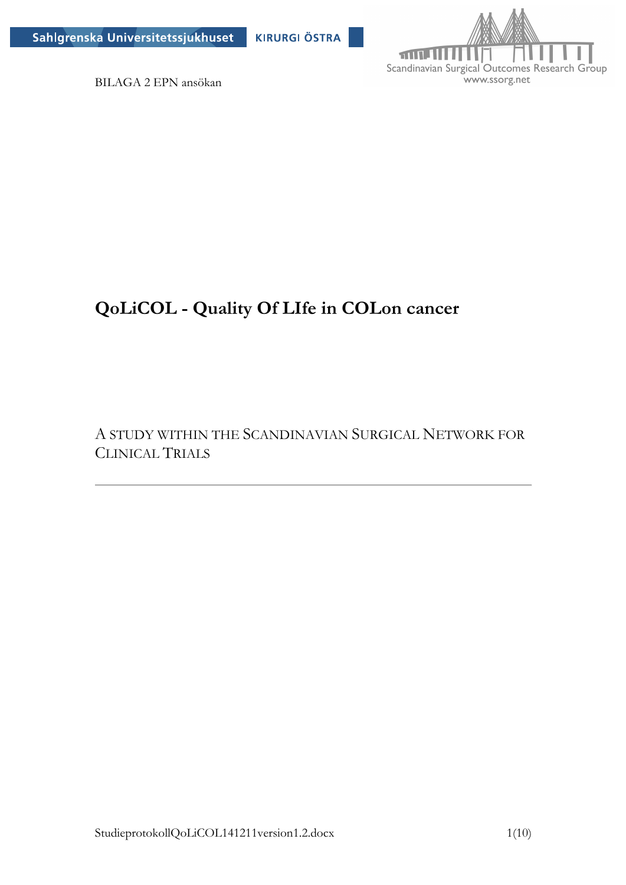



BILAGA 2 EPN ansökan

# **QoLiCOL - Quality Of LIfe in COLon cancer**

A STUDY WITHIN THE SCANDINAVIAN SURGICAL NETWORK FOR CLINICAL TRIALS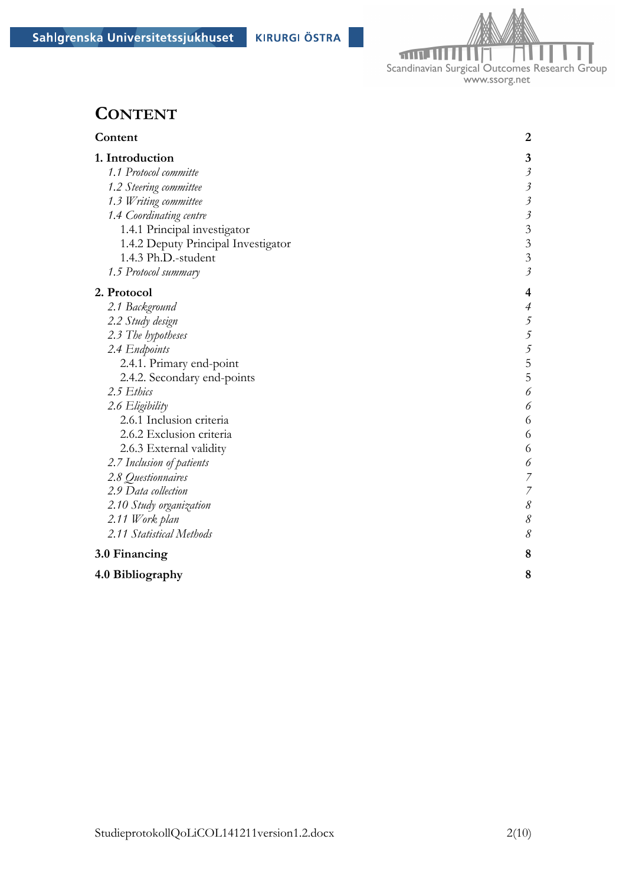

## **CONTENT**

| Content                             | $\boldsymbol{2}$          |
|-------------------------------------|---------------------------|
| 1. Introduction                     | 3                         |
| 1.1 Protocol committe               | $\mathfrak{Z}$            |
| 1.2 Steering committee              | $\mathfrak{Z}$            |
| 1.3 Writing committee               | $\mathfrak{Z}$            |
| 1.4 Coordinating centre             | $\mathfrak{Z}$            |
| 1.4.1 Principal investigator        | $\overline{\mathbf{3}}$   |
| 1.4.2 Deputy Principal Investigator | $\overline{3}$            |
| 1.4.3 Ph.D.-student                 | $\overline{3}$            |
| 1.5 Protocol summary                | $\mathfrak{z}$            |
| 2. Protocol                         | 4                         |
| 2.1 Background                      | $\overline{\mathcal{A}}$  |
| 2.2 Study design                    |                           |
| 2.3 The hypotheses                  | $\frac{5}{5}$             |
| 2.4 Endpoints                       | $\overline{\mathfrak{z}}$ |
| 2.4.1. Primary end-point            | 5                         |
| 2.4.2. Secondary end-points         | 5                         |
| 2.5 Ethics                          | 6                         |
| 2.6 Eligibility                     | 6                         |
| 2.6.1 Inclusion criteria            | 6                         |
| 2.6.2 Exclusion criteria            | 6                         |
| 2.6.3 External validity             | 6                         |
| 2.7 Inclusion of patients           | 6                         |
| 2.8 Questionnaires                  | $\overline{z}$            |
| 2.9 Data collection                 | $\overline{z}$            |
| 2.10 Study organization             | $\delta$                  |
| 2.11 Work plan                      | $\mathcal S$              |
| 2.11 Statistical Methods            | 8                         |
| 3.0 Financing                       | 8                         |
| 4.0 Bibliography                    | 8                         |
|                                     |                           |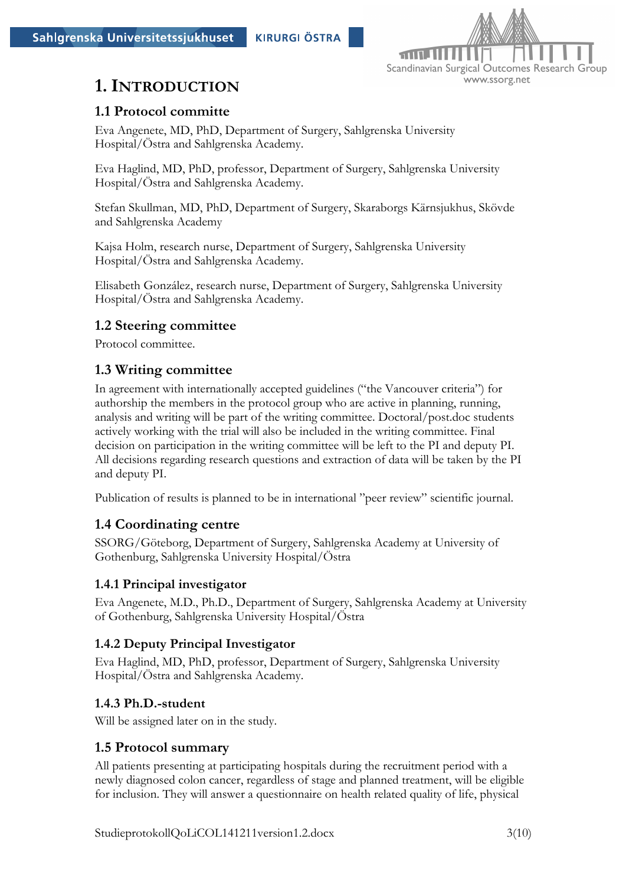

## **1. INTRODUCTION**

#### **1.1 Protocol committe**

Eva Angenete, MD, PhD, Department of Surgery, Sahlgrenska University Hospital/Östra and Sahlgrenska Academy.

Eva Haglind, MD, PhD, professor, Department of Surgery, Sahlgrenska University Hospital/Östra and Sahlgrenska Academy.

Stefan Skullman, MD, PhD, Department of Surgery, Skaraborgs Kärnsjukhus, Skövde and Sahlgrenska Academy

Kajsa Holm, research nurse, Department of Surgery, Sahlgrenska University Hospital/Östra and Sahlgrenska Academy.

Elisabeth González, research nurse, Department of Surgery, Sahlgrenska University Hospital/Östra and Sahlgrenska Academy.

#### **1.2 Steering committee**

Protocol committee.

#### **1.3 Writing committee**

In agreement with internationally accepted guidelines ("the Vancouver criteria") for authorship the members in the protocol group who are active in planning, running, analysis and writing will be part of the writing committee. Doctoral/post.doc students actively working with the trial will also be included in the writing committee. Final decision on participation in the writing committee will be left to the PI and deputy PI. All decisions regarding research questions and extraction of data will be taken by the PI and deputy PI.

Publication of results is planned to be in international "peer review" scientific journal.

#### **1.4 Coordinating centre**

SSORG/Göteborg, Department of Surgery, Sahlgrenska Academy at University of Gothenburg, Sahlgrenska University Hospital/Östra

#### **1.4.1 Principal investigator**

Eva Angenete, M.D., Ph.D., Department of Surgery, Sahlgrenska Academy at University of Gothenburg, Sahlgrenska University Hospital/Östra

#### **1.4.2 Deputy Principal Investigator**

Eva Haglind, MD, PhD, professor, Department of Surgery, Sahlgrenska University Hospital/Östra and Sahlgrenska Academy.

#### **1.4.3 Ph.D.-student**

Will be assigned later on in the study.

#### **1.5 Protocol summary**

All patients presenting at participating hospitals during the recruitment period with a newly diagnosed colon cancer, regardless of stage and planned treatment, will be eligible for inclusion. They will answer a questionnaire on health related quality of life, physical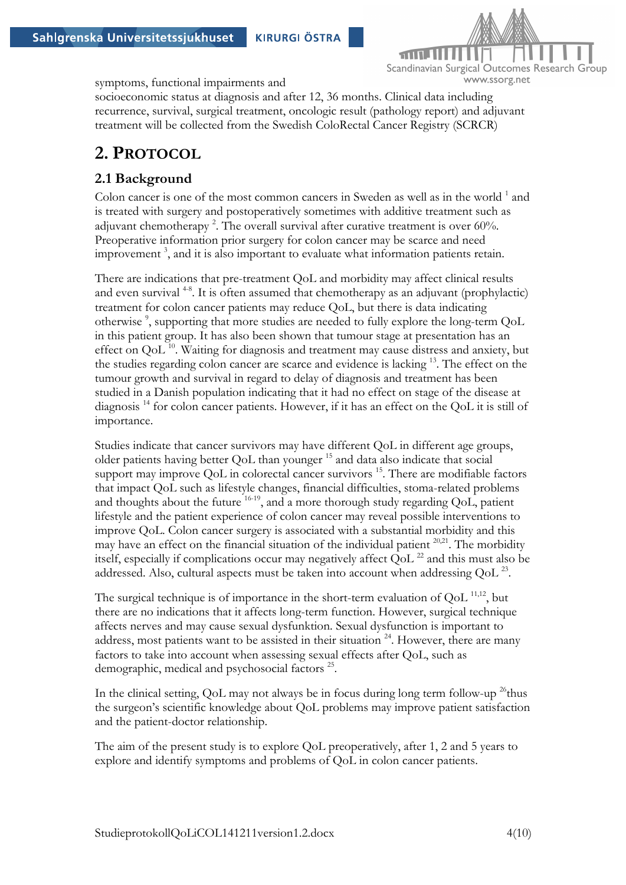

symptoms, functional impairments and

socioeconomic status at diagnosis and after 12, 36 months. Clinical data including recurrence, survival, surgical treatment, oncologic result (pathology report) and adjuvant treatment will be collected from the Swedish ColoRectal Cancer Registry (SCRCR)

## **2. PROTOCOL**

#### **2.1 Background**

Colon cancer is one of the most common cancers in Sweden as well as in the world  $1$  and is treated with surgery and postoperatively sometimes with additive treatment such as adjuvant chemotherapy<sup>2</sup>. The overall survival after curative treatment is over 60%. Preoperative information prior surgery for colon cancer may be scarce and need improvement<sup>3</sup>, and it is also important to evaluate what information patients retain.

There are indications that pre-treatment QoL and morbidity may affect clinical results and even survival<sup>48</sup>. It is often assumed that chemotherapy as an adjuvant (prophylactic) treatment for colon cancer patients may reduce QoL, but there is data indicating otherwise<sup>9</sup>, supporting that more studies are needed to fully explore the long-term QoL in this patient group. It has also been shown that tumour stage at presentation has an effect on  $QoL<sup>10</sup>$ . Waiting for diagnosis and treatment may cause distress and anxiety, but the studies regarding colon cancer are scarce and evidence is lacking 13. The effect on the tumour growth and survival in regard to delay of diagnosis and treatment has been studied in a Danish population indicating that it had no effect on stage of the disease at diagnosis 14 for colon cancer patients. However, if it has an effect on the QoL it is still of importance.

Studies indicate that cancer survivors may have different QoL in different age groups, older patients having better QoL than younger 15 and data also indicate that social support may improve QoL in colorectal cancer survivors<sup>15</sup>. There are modifiable factors that impact QoL such as lifestyle changes, financial difficulties, stoma-related problems and thoughts about the future  $16-19$ , and a more thorough study regarding QoL, patient lifestyle and the patient experience of colon cancer may reveal possible interventions to improve QoL. Colon cancer surgery is associated with a substantial morbidity and this may have an effect on the financial situation of the individual patient  $20,21$ . The morbidity itself, especially if complications occur may negatively affect  $\text{OoL}^{22}$  and this must also be addressed. Also, cultural aspects must be taken into account when addressing OoL<sup>23</sup>.

The surgical technique is of importance in the short-term evaluation of  $\text{QoL}^{11,12}$ , but there are no indications that it affects long-term function. However, surgical technique affects nerves and may cause sexual dysfunktion. Sexual dysfunction is important to address, most patients want to be assisted in their situation  $24$ . However, there are many factors to take into account when assessing sexual effects after QoL, such as demographic, medical and psychosocial factors <sup>25</sup>.

In the clinical setting, QoL may not always be in focus during long term follow-up  $^{26}$ thus the surgeon's scientific knowledge about QoL problems may improve patient satisfaction and the patient-doctor relationship.

The aim of the present study is to explore QoL preoperatively, after 1, 2 and 5 years to explore and identify symptoms and problems of QoL in colon cancer patients.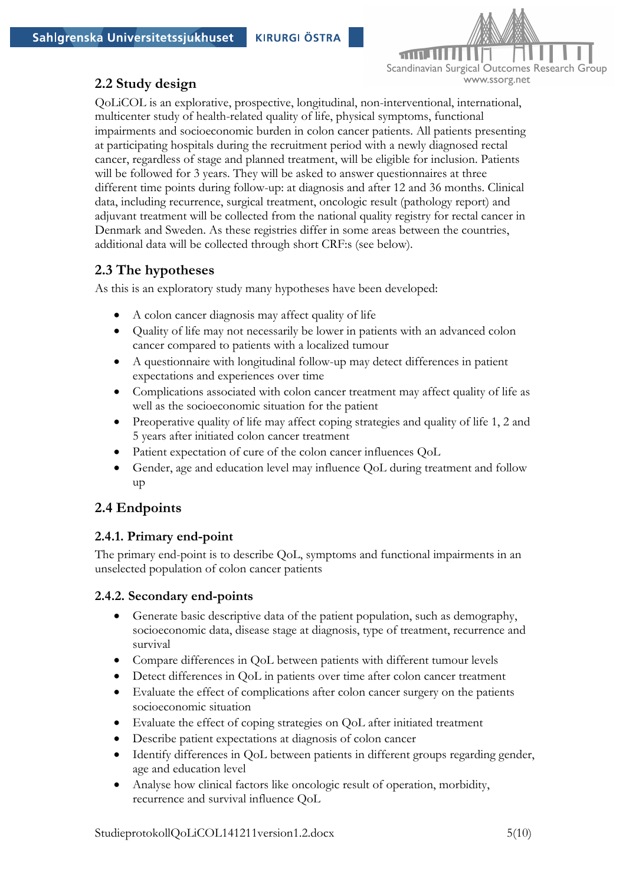



### **2.2 Study design**

QoLiCOL is an explorative, prospective, longitudinal, non-interventional, international, multicenter study of health-related quality of life, physical symptoms, functional impairments and socioeconomic burden in colon cancer patients. All patients presenting at participating hospitals during the recruitment period with a newly diagnosed rectal cancer, regardless of stage and planned treatment, will be eligible for inclusion. Patients will be followed for 3 years. They will be asked to answer questionnaires at three different time points during follow-up: at diagnosis and after 12 and 36 months. Clinical data, including recurrence, surgical treatment, oncologic result (pathology report) and adjuvant treatment will be collected from the national quality registry for rectal cancer in Denmark and Sweden. As these registries differ in some areas between the countries, additional data will be collected through short CRF:s (see below).

### **2.3 The hypotheses**

As this is an exploratory study many hypotheses have been developed:

- A colon cancer diagnosis may affect quality of life
- Quality of life may not necessarily be lower in patients with an advanced colon cancer compared to patients with a localized tumour
- A questionnaire with longitudinal follow-up may detect differences in patient expectations and experiences over time
- Complications associated with colon cancer treatment may affect quality of life as well as the socioeconomic situation for the patient
- Preoperative quality of life may affect coping strategies and quality of life 1, 2 and 5 years after initiated colon cancer treatment
- Patient expectation of cure of the colon cancer influences QoL
- Gender, age and education level may influence QoL during treatment and follow up

### **2.4 Endpoints**

#### **2.4.1. Primary end-point**

The primary end-point is to describe QoL, symptoms and functional impairments in an unselected population of colon cancer patients

#### **2.4.2. Secondary end-points**

- Generate basic descriptive data of the patient population, such as demography, socioeconomic data, disease stage at diagnosis, type of treatment, recurrence and survival
- Compare differences in QoL between patients with different tumour levels
- Detect differences in QoL in patients over time after colon cancer treatment
- Evaluate the effect of complications after colon cancer surgery on the patients socioeconomic situation
- Evaluate the effect of coping strategies on QoL after initiated treatment
- Describe patient expectations at diagnosis of colon cancer
- Identify differences in QoL between patients in different groups regarding gender, age and education level
- Analyse how clinical factors like oncologic result of operation, morbidity, recurrence and survival influence QoL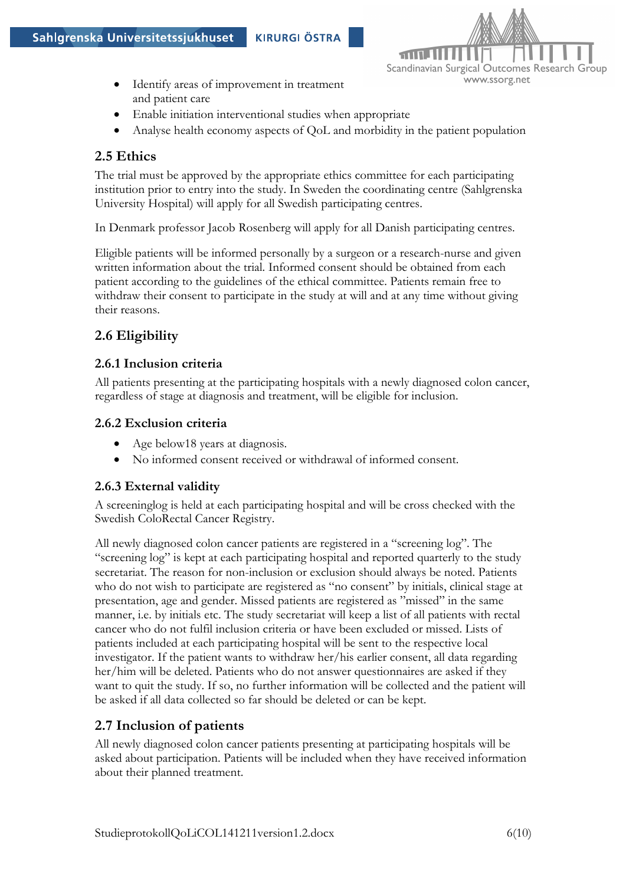

- Identify areas of improvement in treatment and patient care
- Enable initiation interventional studies when appropriate
- Analyse health economy aspects of QoL and morbidity in the patient population

### **2.5 Ethics**

The trial must be approved by the appropriate ethics committee for each participating institution prior to entry into the study. In Sweden the coordinating centre (Sahlgrenska University Hospital) will apply for all Swedish participating centres.

In Denmark professor Jacob Rosenberg will apply for all Danish participating centres.

Eligible patients will be informed personally by a surgeon or a research-nurse and given written information about the trial. Informed consent should be obtained from each patient according to the guidelines of the ethical committee. Patients remain free to withdraw their consent to participate in the study at will and at any time without giving their reasons.

## **2.6 Eligibility**

#### **2.6.1 Inclusion criteria**

All patients presenting at the participating hospitals with a newly diagnosed colon cancer, regardless of stage at diagnosis and treatment, will be eligible for inclusion.

#### **2.6.2 Exclusion criteria**

- Age below18 years at diagnosis.
- No informed consent received or withdrawal of informed consent.

#### **2.6.3 External validity**

A screeninglog is held at each participating hospital and will be cross checked with the Swedish ColoRectal Cancer Registry.

All newly diagnosed colon cancer patients are registered in a "screening log". The "screening log" is kept at each participating hospital and reported quarterly to the study secretariat. The reason for non-inclusion or exclusion should always be noted. Patients who do not wish to participate are registered as "no consent" by initials, clinical stage at presentation, age and gender. Missed patients are registered as "missed" in the same manner, i.e. by initials etc. The study secretariat will keep a list of all patients with rectal cancer who do not fulfil inclusion criteria or have been excluded or missed. Lists of patients included at each participating hospital will be sent to the respective local investigator. If the patient wants to withdraw her/his earlier consent, all data regarding her/him will be deleted. Patients who do not answer questionnaires are asked if they want to quit the study. If so, no further information will be collected and the patient will be asked if all data collected so far should be deleted or can be kept.

### **2.7 Inclusion of patients**

All newly diagnosed colon cancer patients presenting at participating hospitals will be asked about participation. Patients will be included when they have received information about their planned treatment.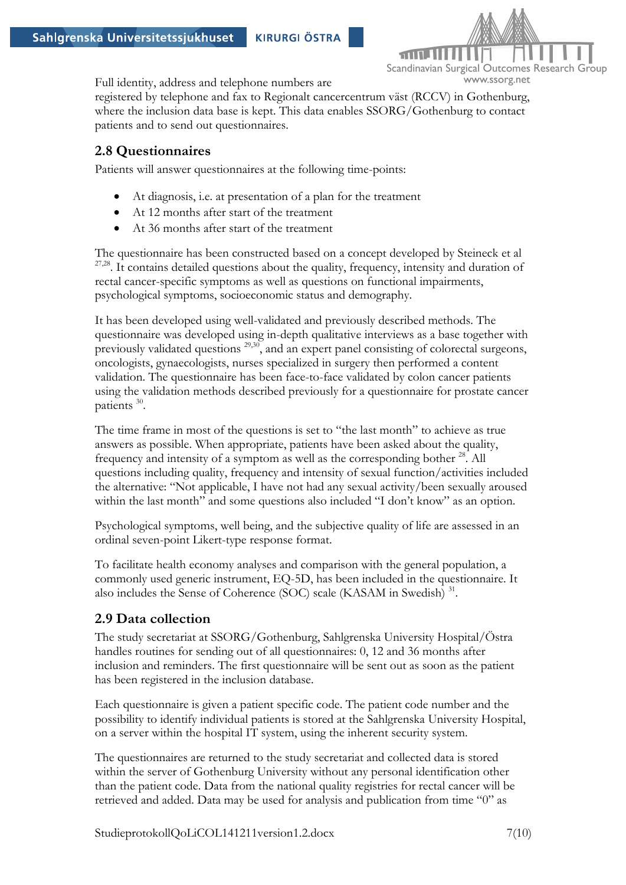

Full identity, address and telephone numbers are

registered by telephone and fax to Regionalt cancercentrum väst (RCCV) in Gothenburg, where the inclusion data base is kept. This data enables SSORG/Gothenburg to contact patients and to send out questionnaires.

#### **2.8 Questionnaires**

Patients will answer questionnaires at the following time-points:

- At diagnosis, i.e. at presentation of a plan for the treatment
- At 12 months after start of the treatment
- At 36 months after start of the treatment

The questionnaire has been constructed based on a concept developed by Steineck et al  $27,28$ . It contains detailed questions about the quality, frequency, intensity and duration of rectal cancer-specific symptoms as well as questions on functional impairments, psychological symptoms, socioeconomic status and demography.

It has been developed using well-validated and previously described methods. The questionnaire was developed using in-depth qualitative interviews as a base together with previously validated questions <sup>29,30</sup>, and an expert panel consisting of colorectal surgeons, oncologists, gynaecologists, nurses specialized in surgery then performed a content validation. The questionnaire has been face-to-face validated by colon cancer patients using the validation methods described previously for a questionnaire for prostate cancer patients 30.

The time frame in most of the questions is set to "the last month" to achieve as true answers as possible. When appropriate, patients have been asked about the quality, frequency and intensity of a symptom as well as the corresponding bother  $^{28}$ . All questions including quality, frequency and intensity of sexual function/activities included the alternative: "Not applicable, I have not had any sexual activity/been sexually aroused within the last month" and some questions also included "I don't know" as an option.

Psychological symptoms, well being, and the subjective quality of life are assessed in an ordinal seven-point Likert-type response format.

To facilitate health economy analyses and comparison with the general population, a commonly used generic instrument, EQ-5D, has been included in the questionnaire. It also includes the Sense of Coherence (SOC) scale (KASAM in Swedish) 31.

#### **2.9 Data collection**

The study secretariat at SSORG/Gothenburg, Sahlgrenska University Hospital/Östra handles routines for sending out of all questionnaires: 0, 12 and 36 months after inclusion and reminders. The first questionnaire will be sent out as soon as the patient has been registered in the inclusion database.

Each questionnaire is given a patient specific code. The patient code number and the possibility to identify individual patients is stored at the Sahlgrenska University Hospital, on a server within the hospital IT system, using the inherent security system.

The questionnaires are returned to the study secretariat and collected data is stored within the server of Gothenburg University without any personal identification other than the patient code. Data from the national quality registries for rectal cancer will be retrieved and added. Data may be used for analysis and publication from time "0" as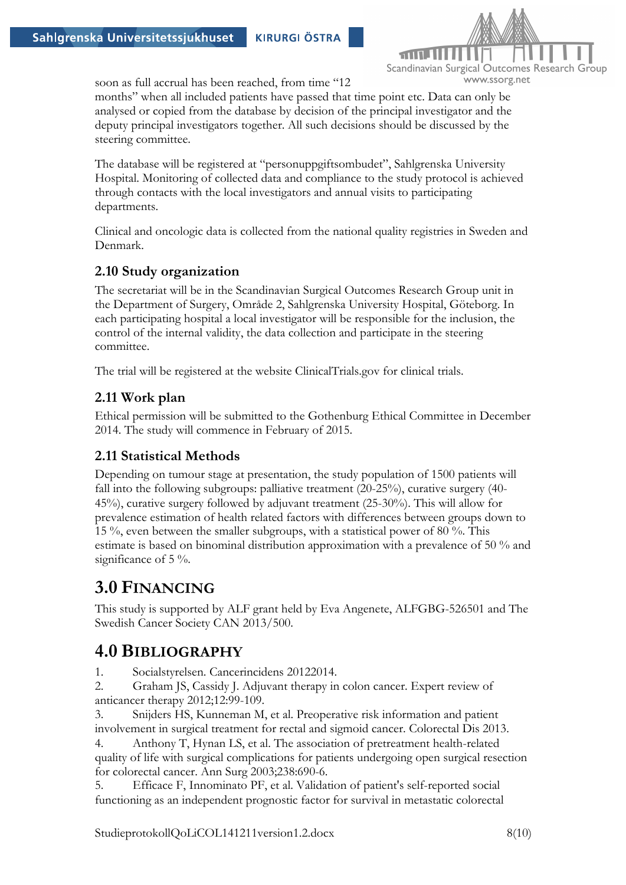

soon as full accrual has been reached, from time "12

months" when all included patients have passed that time point etc. Data can only be analysed or copied from the database by decision of the principal investigator and the deputy principal investigators together. All such decisions should be discussed by the steering committee.

The database will be registered at "personuppgiftsombudet", Sahlgrenska University Hospital. Monitoring of collected data and compliance to the study protocol is achieved through contacts with the local investigators and annual visits to participating departments.

Clinical and oncologic data is collected from the national quality registries in Sweden and Denmark.

#### **2.10 Study organization**

The secretariat will be in the Scandinavian Surgical Outcomes Research Group unit in the Department of Surgery, Område 2, Sahlgrenska University Hospital, Göteborg. In each participating hospital a local investigator will be responsible for the inclusion, the control of the internal validity, the data collection and participate in the steering committee.

The trial will be registered at the website ClinicalTrials.gov for clinical trials.

#### **2.11 Work plan**

Ethical permission will be submitted to the Gothenburg Ethical Committee in December 2014. The study will commence in February of 2015.

#### **2.11 Statistical Methods**

Depending on tumour stage at presentation, the study population of 1500 patients will fall into the following subgroups: palliative treatment (20-25%), curative surgery (40- 45%), curative surgery followed by adjuvant treatment (25-30%). This will allow for prevalence estimation of health related factors with differences between groups down to 15 %, even between the smaller subgroups, with a statistical power of 80 %. This estimate is based on binominal distribution approximation with a prevalence of 50 % and significance of 5 %.

## **3.0 FINANCING**

This study is supported by ALF grant held by Eva Angenete, ALFGBG-526501 and The Swedish Cancer Society CAN 2013/500.

## **4.0 BIBLIOGRAPHY**

1. Socialstyrelsen. Cancerincidens 20122014.

2. Graham JS, Cassidy J. Adjuvant therapy in colon cancer. Expert review of anticancer therapy 2012;12:99-109.

3. Snijders HS, Kunneman M, et al. Preoperative risk information and patient involvement in surgical treatment for rectal and sigmoid cancer. Colorectal Dis 2013.

4. Anthony T, Hynan LS, et al. The association of pretreatment health-related quality of life with surgical complications for patients undergoing open surgical resection for colorectal cancer. Ann Surg 2003;238:690-6.

5. Efficace F, Innominato PF, et al. Validation of patient's self-reported social functioning as an independent prognostic factor for survival in metastatic colorectal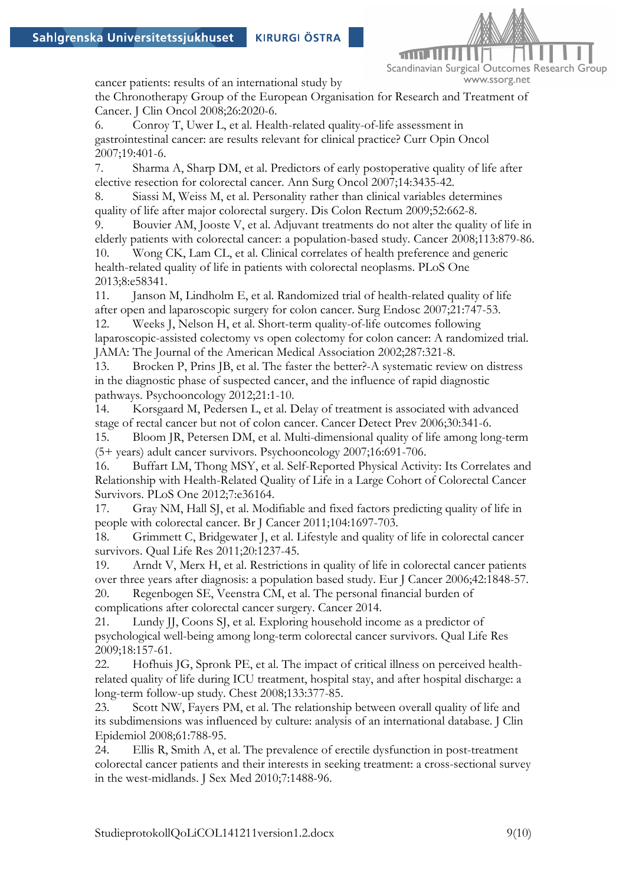

cancer patients: results of an international study by

the Chronotherapy Group of the European Organisation for Research and Treatment of Cancer. J Clin Oncol 2008;26:2020-6.

6. Conroy T, Uwer L, et al. Health-related quality-of-life assessment in gastrointestinal cancer: are results relevant for clinical practice? Curr Opin Oncol 2007;19:401-6.

7. Sharma A, Sharp DM, et al. Predictors of early postoperative quality of life after elective resection for colorectal cancer. Ann Surg Oncol 2007;14:3435-42.

8. Siassi M, Weiss M, et al. Personality rather than clinical variables determines quality of life after major colorectal surgery. Dis Colon Rectum 2009;52:662-8.

9. Bouvier AM, Jooste V, et al. Adjuvant treatments do not alter the quality of life in elderly patients with colorectal cancer: a population-based study. Cancer 2008;113:879-86.

10. Wong CK, Lam CL, et al. Clinical correlates of health preference and generic health-related quality of life in patients with colorectal neoplasms. PLoS One 2013;8:e58341.

11. Janson M, Lindholm E, et al. Randomized trial of health-related quality of life after open and laparoscopic surgery for colon cancer. Surg Endosc 2007;21:747-53.

12. Weeks J, Nelson H, et al. Short-term quality-of-life outcomes following laparoscopic-assisted colectomy vs open colectomy for colon cancer: A randomized trial. JAMA: The Journal of the American Medical Association 2002;287:321-8.

13. Brocken P, Prins JB, et al. The faster the better?-A systematic review on distress in the diagnostic phase of suspected cancer, and the influence of rapid diagnostic pathways. Psychooncology 2012;21:1-10.

14. Korsgaard M, Pedersen L, et al. Delay of treatment is associated with advanced stage of rectal cancer but not of colon cancer. Cancer Detect Prev 2006;30:341-6.

15. Bloom JR, Petersen DM, et al. Multi-dimensional quality of life among long-term (5+ years) adult cancer survivors. Psychooncology 2007;16:691-706.

16. Buffart LM, Thong MSY, et al. Self-Reported Physical Activity: Its Correlates and Relationship with Health-Related Quality of Life in a Large Cohort of Colorectal Cancer Survivors. PLoS One 2012;7:e36164.

17. Gray NM, Hall SJ, et al. Modifiable and fixed factors predicting quality of life in people with colorectal cancer. Br J Cancer 2011;104:1697-703.

18. Grimmett C, Bridgewater J, et al. Lifestyle and quality of life in colorectal cancer survivors. Qual Life Res 2011;20:1237-45.

19. Arndt V, Merx H, et al. Restrictions in quality of life in colorectal cancer patients over three years after diagnosis: a population based study. Eur J Cancer 2006;42:1848-57. 20. Regenbogen SE, Veenstra CM, et al. The personal financial burden of complications after colorectal cancer surgery. Cancer 2014.

21. Lundy JJ, Coons SJ, et al. Exploring household income as a predictor of psychological well-being among long-term colorectal cancer survivors. Qual Life Res 2009;18:157-61.

22. Hofhuis JG, Spronk PE, et al. The impact of critical illness on perceived healthrelated quality of life during ICU treatment, hospital stay, and after hospital discharge: a long-term follow-up study. Chest 2008;133:377-85.

23. Scott NW, Fayers PM, et al. The relationship between overall quality of life and its subdimensions was influenced by culture: analysis of an international database. J Clin Epidemiol 2008;61:788-95.

24. Ellis R, Smith A, et al. The prevalence of erectile dysfunction in post-treatment colorectal cancer patients and their interests in seeking treatment: a cross-sectional survey in the west-midlands. J Sex Med 2010;7:1488-96.